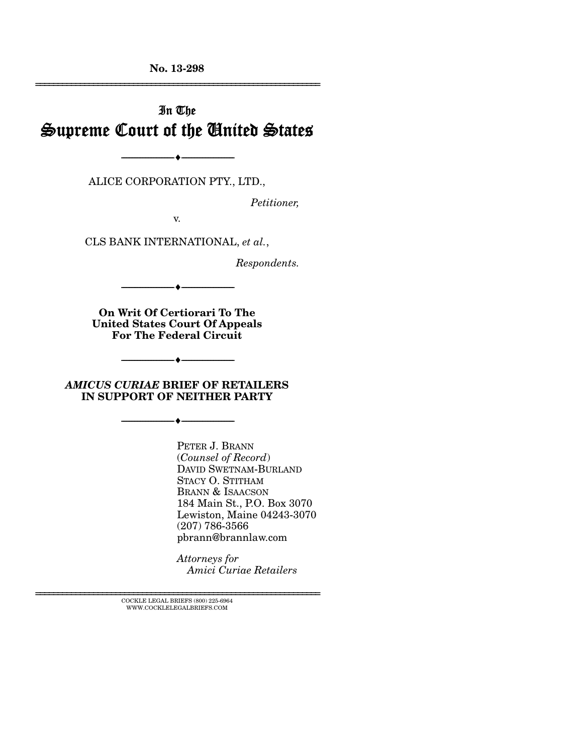**No. 13-298**  ================================================================

# In The Supreme Court of the United States

--------------------------------- ---------------------------------

ALICE CORPORATION PTY., LTD.,

*Petitioner,* 

v.

CLS BANK INTERNATIONAL, *et al.*,

*Respondents.* 

**On Writ Of Certiorari To The United States Court Of Appeals For The Federal Circuit** 

--------------------------------- ---------------------------------

*AMICUS CURIAE* **BRIEF OF RETAILERS IN SUPPORT OF NEITHER PARTY** 

--------------------------------- ---------------------------------

--------------------------------- ---------------------------------

PETER J. BRANN (*Counsel of Record*) DAVID SWETNAM-BURLAND STACY O. STITHAM BRANN & ISAACSON 184 Main St., P.O. Box 3070 Lewiston, Maine 04243-3070 (207) 786-3566 pbrann@brannlaw.com

*Attorneys for Amici Curiae Retailers*

================================================================ COCKLE LEGAL BRIEFS (800) 225-6964 WWW.COCKLELEGALBRIEFS.COM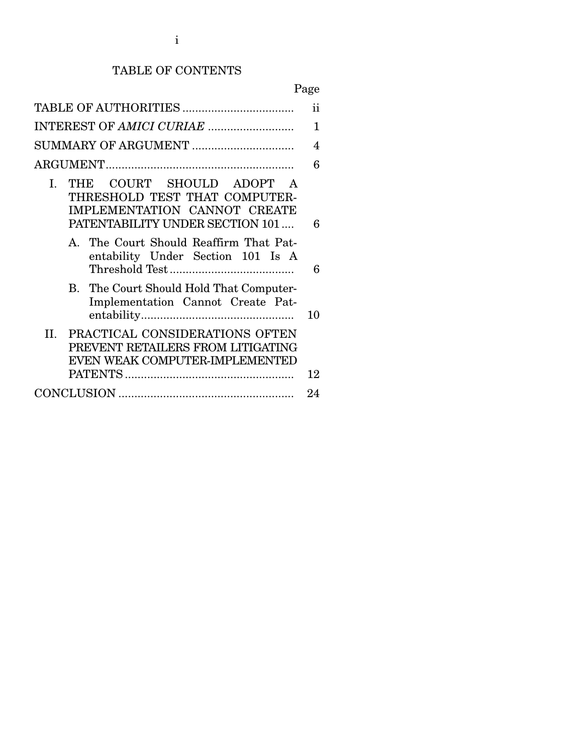# TABLE OF CONTENTS

# Page

|                                                                                                                                  | ii  |
|----------------------------------------------------------------------------------------------------------------------------------|-----|
|                                                                                                                                  | 1   |
| SUMMARY OF ARGUMENT                                                                                                              | 4   |
|                                                                                                                                  | 6   |
| THE COURT SHOULD ADOPT<br>I.<br>THRESHOLD TEST THAT COMPUTER-<br>IMPLEMENTATION CANNOT CREATE<br>PATENTABILITY UNDER SECTION 101 | 6   |
| A. The Court Should Reaffirm That Pat-<br>entability Under Section 101 Is A                                                      | 6   |
| B. The Court Should Hold That Computer-<br>Implementation Cannot Create Pat-                                                     | 10  |
| II. PRACTICAL CONSIDERATIONS OFTEN<br>PREVENT RETAILERS FROM LITIGATING<br>EVEN WEAK COMPUTER-IMPLEMENTED                        | 12  |
|                                                                                                                                  | 9.4 |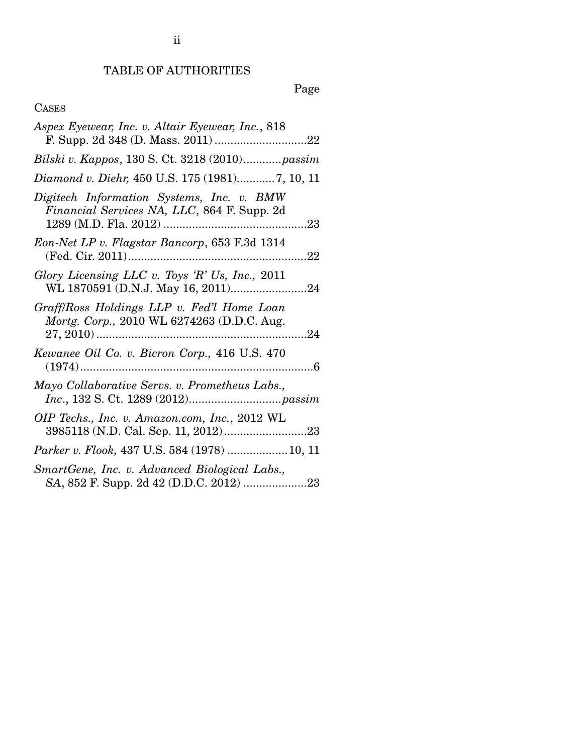# TABLE OF AUTHORITIES

ii

# Page

### CASES

| Aspex Eyewear, Inc. v. Altair Eyewear, Inc., 818                                         |
|------------------------------------------------------------------------------------------|
| Bilski v. Kappos, 130 S. Ct. 3218 (2010)passim                                           |
| Diamond v. Diehr, 450 U.S. 175 (1981)7, 10, 11                                           |
| Digitech Information Systems, Inc. v. BMW<br>Financial Services NA, LLC, 864 F. Supp. 2d |
| Eon-Net LP v. Flagstar Bancorp, 653 F.3d 1314                                            |
| Glory Licensing LLC v. Toys 'R' Us, Inc., 2011<br>WL 1870591 (D.N.J. May 16, 2011)24     |
| Graff/Ross Holdings LLP v. Fed'l Home Loan<br>Mortg. Corp., 2010 WL 6274263 (D.D.C. Aug. |
| Kewanee Oil Co. v. Bicron Corp., 416 U.S. 470                                            |
| Mayo Collaborative Servs. v. Prometheus Labs.,                                           |
| OIP Techs., Inc. v. Amazon.com, Inc., 2012 WL                                            |
| Parker v. Flook, 437 U.S. 584 (1978)  10, 11                                             |
| SmartGene, Inc. v. Advanced Biological Labs.,<br>SA, 852 F. Supp. 2d 42 (D.D.C. 2012) 23 |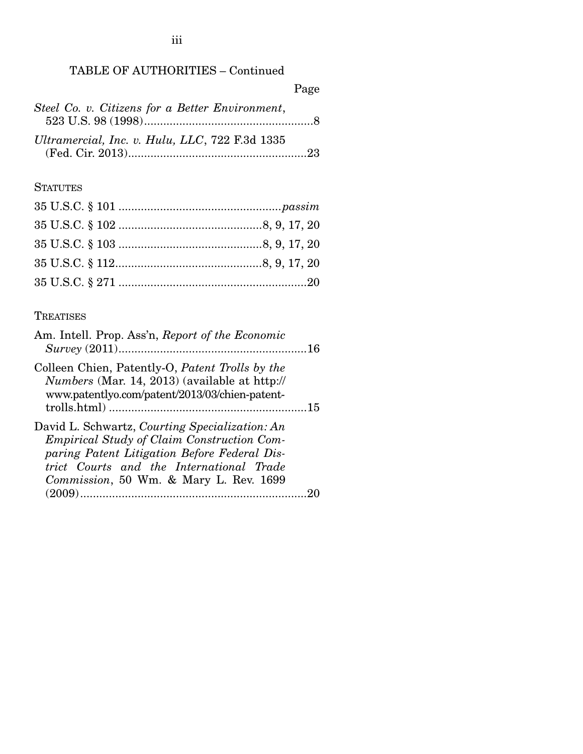## TABLE OF AUTHORITIES – Continued

|                                                 | Page |
|-------------------------------------------------|------|
| Steel Co. v. Citizens for a Better Environment, |      |
| Ultramercial, Inc. v. Hulu, LLC, 722 F.3d 1335  |      |
|                                                 |      |

# **STATUTES**

# **TREATISES**

| Am. Intell. Prop. Ass'n, Report of the Economic                                                                                                                                                                                           |  |
|-------------------------------------------------------------------------------------------------------------------------------------------------------------------------------------------------------------------------------------------|--|
| Colleen Chien, Patently-O, Patent Trolls by the<br>Numbers (Mar. 14, 2013) (available at http://<br>www.patentlyo.com/patent/2013/03/chien-patent-                                                                                        |  |
| David L. Schwartz, Courting Specialization: An<br><b>Empirical Study of Claim Construction Com-</b><br>paring Patent Litigation Before Federal Dis-<br>trict Courts and the International Trade<br>Commission, 50 Wm. & Mary L. Rev. 1699 |  |
|                                                                                                                                                                                                                                           |  |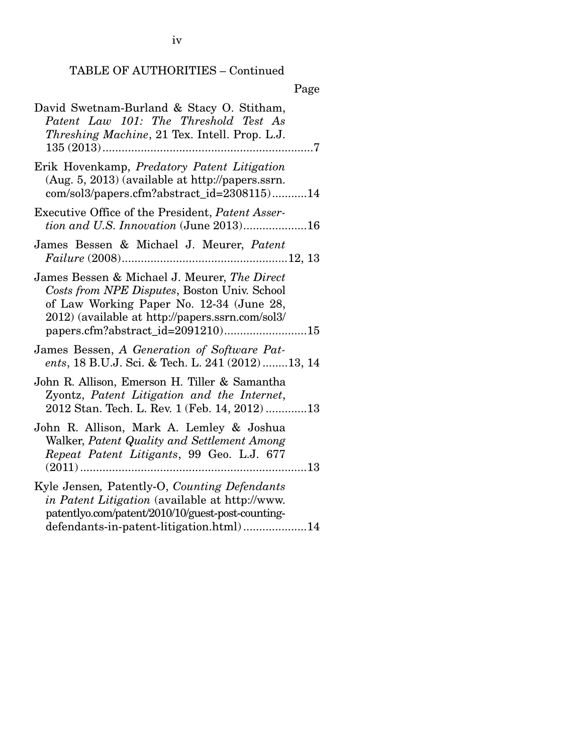# TABLE OF AUTHORITIES – Continued

|--|

| David Swetnam-Burland & Stacy O. Stitham,<br>Patent Law 101: The Threshold Test As<br>Threshing Machine, 21 Tex. Intell. Prop. L.J.                                                                                               |
|-----------------------------------------------------------------------------------------------------------------------------------------------------------------------------------------------------------------------------------|
| Erik Hovenkamp, Predatory Patent Litigation<br>(Aug. 5, 2013) (available at http://papers.ssrn.<br>com/sol3/papers.cfm?abstract_id=2308115)14                                                                                     |
| Executive Office of the President, Patent Asser-<br>tion and U.S. Innovation (June 2013)16                                                                                                                                        |
| James Bessen & Michael J. Meurer, Patent                                                                                                                                                                                          |
| James Bessen & Michael J. Meurer, The Direct<br>Costs from NPE Disputes, Boston Univ. School<br>of Law Working Paper No. 12-34 (June 28,<br>2012) (available at http://papers.ssrn.com/sol3/<br>papers.cfm?abstract_id=2091210)15 |
| James Bessen, A Generation of Software Pat-<br>ents, 18 B.U.J. Sci. & Tech. L. 241 (2012) 13, 14                                                                                                                                  |
| John R. Allison, Emerson H. Tiller & Samantha<br>Zyontz, Patent Litigation and the Internet,<br>2012 Stan. Tech. L. Rev. 1 (Feb. 14, 2012)13                                                                                      |
| John R. Allison, Mark A. Lemley & Joshua<br>Walker, Patent Quality and Settlement Among<br>Repeat Patent Litigants, 99 Geo. L.J. 677<br>13                                                                                        |
| Kyle Jensen, Patently-O, Counting Defendants<br>in Patent Litigation (available at http://www.<br>patentlyo.com/patent/2010/10/guest-post-counting-<br>defendants-in-patent-litigation.html)14                                    |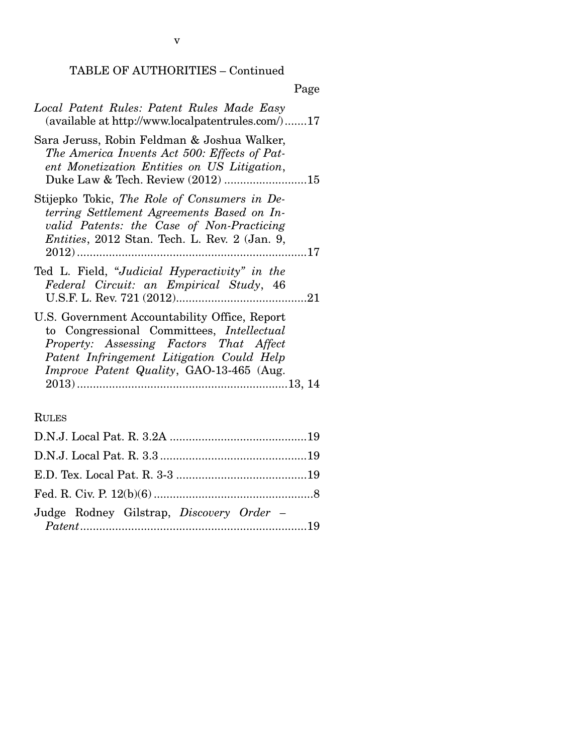v

## TABLE OF AUTHORITIES – Continued

| Local Patent Rules: Patent Rules Made Easy<br>(available at http://www.localpatentrules.com/)17                                                                                                                                       |
|---------------------------------------------------------------------------------------------------------------------------------------------------------------------------------------------------------------------------------------|
| Sara Jeruss, Robin Feldman & Joshua Walker,<br>The America Invents Act 500: Effects of Pat-<br>ent Monetization Entities on US Litigation,                                                                                            |
| Stijepko Tokic, The Role of Consumers in De-<br>terring Settlement Agreements Based on In-<br>valid Patents: the Case of Non-Practicing<br><i>Entities</i> , 2012 Stan. Tech. L. Rev. 2 (Jan. 9,                                      |
| Ted L. Field, "Judicial Hyperactivity" in the<br>Federal Circuit: an Empirical Study, 46                                                                                                                                              |
| U.S. Government Accountability Office, Report<br>to Congressional Committees, <i>Intellectual</i><br>Property: Assessing Factors That Affect<br>Patent Infringement Litigation Could Help<br>Improve Patent Quality, GAO-13-465 (Aug. |

# RULES

| Judge Rodney Gilstrap, Discovery Order - |  |
|------------------------------------------|--|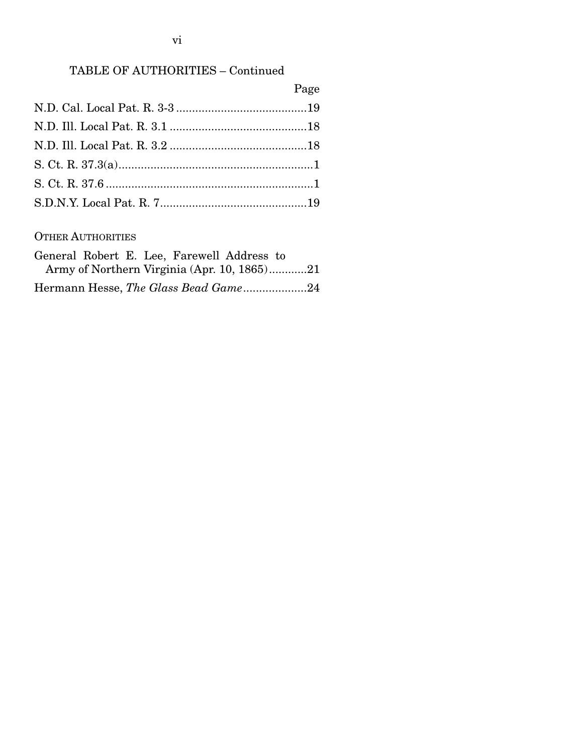### vi

### TABLE OF AUTHORITIES – Continued

| Page |
|------|
|      |
|      |
|      |
|      |
|      |
|      |

#### OTHER AUTHORITIES

|  | General Robert E. Lee, Farewell Address to  |  |
|--|---------------------------------------------|--|
|  | Army of Northern Virginia (Apr. 10, 1865)21 |  |
|  | Hermann Hesse, The Glass Bead Game24        |  |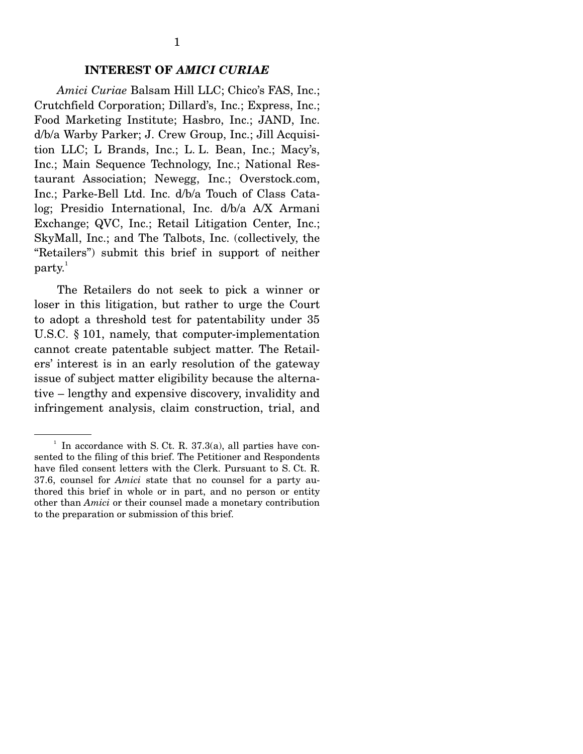#### **INTEREST OF** *AMICI CURIAE*

*Amici Curiae* Balsam Hill LLC; Chico's FAS, Inc.; Crutchfield Corporation; Dillard's, Inc.; Express, Inc.; Food Marketing Institute; Hasbro, Inc.; JAND, Inc. d/b/a Warby Parker; J. Crew Group, Inc.; Jill Acquisition LLC; L Brands, Inc.; L. L. Bean, Inc.; Macy's, Inc.; Main Sequence Technology, Inc.; National Restaurant Association; Newegg, Inc.; Overstock.com, Inc.; Parke-Bell Ltd. Inc. d/b/a Touch of Class Catalog; Presidio International, Inc. d/b/a A/X Armani Exchange; QVC, Inc.; Retail Litigation Center, Inc.; SkyMall, Inc.; and The Talbots, Inc. (collectively, the "Retailers") submit this brief in support of neither  $party<sup>1</sup>$ 

 The Retailers do not seek to pick a winner or loser in this litigation, but rather to urge the Court to adopt a threshold test for patentability under 35 U.S.C. § 101, namely, that computer-implementation cannot create patentable subject matter. The Retailers' interest is in an early resolution of the gateway issue of subject matter eligibility because the alternative – lengthy and expensive discovery, invalidity and infringement analysis, claim construction, trial, and

 $<sup>1</sup>$  In accordance with S. Ct. R. 37.3(a), all parties have con-</sup> sented to the filing of this brief. The Petitioner and Respondents have filed consent letters with the Clerk. Pursuant to S. Ct. R. 37.6, counsel for *Amici* state that no counsel for a party authored this brief in whole or in part, and no person or entity other than *Amici* or their counsel made a monetary contribution to the preparation or submission of this brief.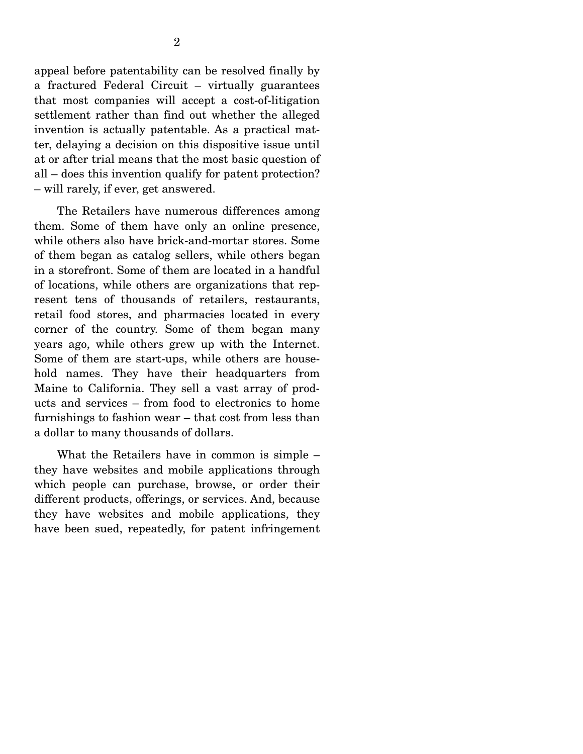appeal before patentability can be resolved finally by a fractured Federal Circuit – virtually guarantees that most companies will accept a cost-of-litigation settlement rather than find out whether the alleged invention is actually patentable. As a practical matter, delaying a decision on this dispositive issue until at or after trial means that the most basic question of all – does this invention qualify for patent protection? – will rarely, if ever, get answered.

 The Retailers have numerous differences among them. Some of them have only an online presence, while others also have brick-and-mortar stores. Some of them began as catalog sellers, while others began in a storefront. Some of them are located in a handful of locations, while others are organizations that represent tens of thousands of retailers, restaurants, retail food stores, and pharmacies located in every corner of the country. Some of them began many years ago, while others grew up with the Internet. Some of them are start-ups, while others are household names. They have their headquarters from Maine to California. They sell a vast array of products and services – from food to electronics to home furnishings to fashion wear – that cost from less than a dollar to many thousands of dollars.

 What the Retailers have in common is simple – they have websites and mobile applications through which people can purchase, browse, or order their different products, offerings, or services. And, because they have websites and mobile applications, they have been sued, repeatedly, for patent infringement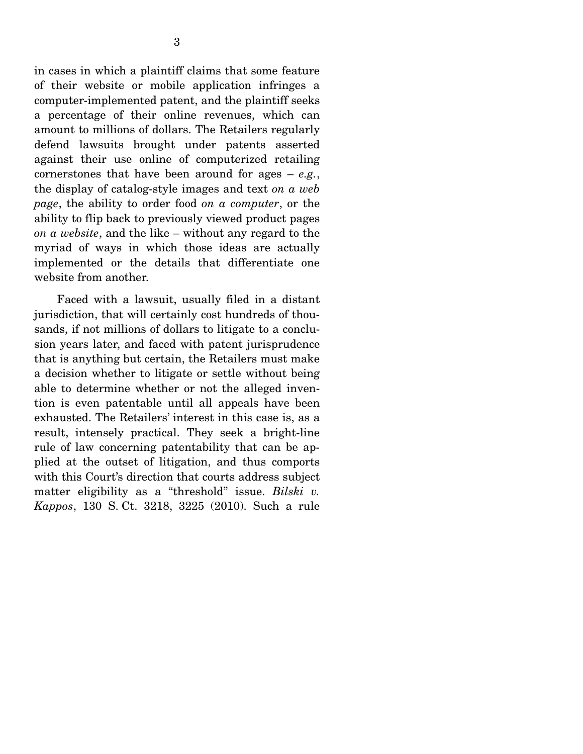in cases in which a plaintiff claims that some feature of their website or mobile application infringes a computer-implemented patent, and the plaintiff seeks a percentage of their online revenues, which can amount to millions of dollars. The Retailers regularly defend lawsuits brought under patents asserted against their use online of computerized retailing cornerstones that have been around for ages – *e.g.*, the display of catalog-style images and text *on a web page*, the ability to order food *on a computer*, or the ability to flip back to previously viewed product pages *on a website*, and the like – without any regard to the myriad of ways in which those ideas are actually implemented or the details that differentiate one website from another.

 Faced with a lawsuit, usually filed in a distant jurisdiction, that will certainly cost hundreds of thousands, if not millions of dollars to litigate to a conclusion years later, and faced with patent jurisprudence that is anything but certain, the Retailers must make a decision whether to litigate or settle without being able to determine whether or not the alleged invention is even patentable until all appeals have been exhausted. The Retailers' interest in this case is, as a result, intensely practical. They seek a bright-line rule of law concerning patentability that can be applied at the outset of litigation, and thus comports with this Court's direction that courts address subject matter eligibility as a "threshold" issue. *Bilski v. Kappos*, 130 S. Ct. 3218, 3225 (2010). Such a rule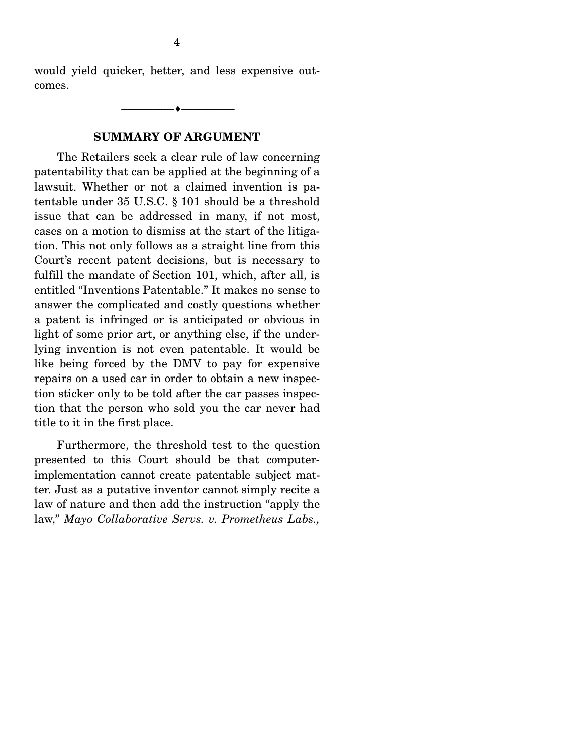would yield quicker, better, and less expensive outcomes.

--------------------------------- ---------------------------------

#### **SUMMARY OF ARGUMENT**

 The Retailers seek a clear rule of law concerning patentability that can be applied at the beginning of a lawsuit. Whether or not a claimed invention is patentable under 35 U.S.C. § 101 should be a threshold issue that can be addressed in many, if not most, cases on a motion to dismiss at the start of the litigation. This not only follows as a straight line from this Court's recent patent decisions, but is necessary to fulfill the mandate of Section 101, which, after all, is entitled "Inventions Patentable." It makes no sense to answer the complicated and costly questions whether a patent is infringed or is anticipated or obvious in light of some prior art, or anything else, if the underlying invention is not even patentable. It would be like being forced by the DMV to pay for expensive repairs on a used car in order to obtain a new inspection sticker only to be told after the car passes inspection that the person who sold you the car never had title to it in the first place.

 Furthermore, the threshold test to the question presented to this Court should be that computerimplementation cannot create patentable subject matter. Just as a putative inventor cannot simply recite a law of nature and then add the instruction "apply the law," *Mayo Collaborative Servs. v. Prometheus Labs.,*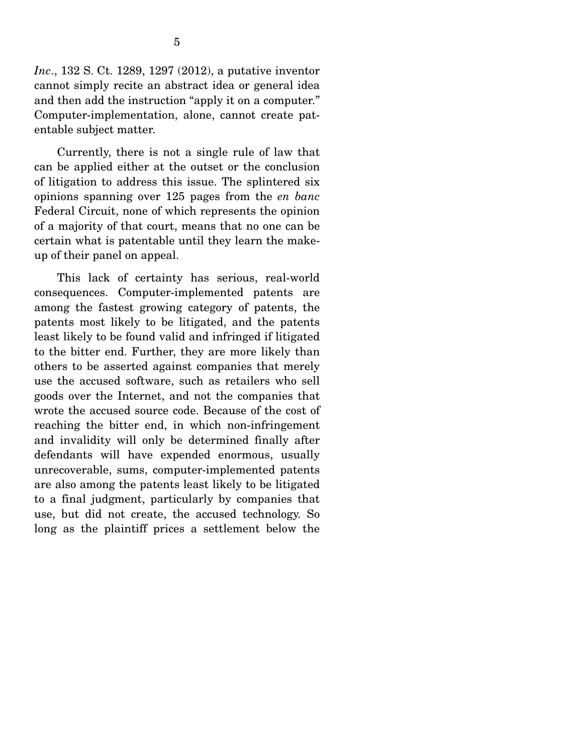*Inc*., 132 S. Ct. 1289, 1297 (2012), a putative inventor cannot simply recite an abstract idea or general idea and then add the instruction "apply it on a computer." Computer-implementation, alone, cannot create patentable subject matter.

 Currently, there is not a single rule of law that can be applied either at the outset or the conclusion of litigation to address this issue. The splintered six opinions spanning over 125 pages from the *en banc* Federal Circuit, none of which represents the opinion of a majority of that court, means that no one can be certain what is patentable until they learn the makeup of their panel on appeal.

 This lack of certainty has serious, real-world consequences. Computer-implemented patents are among the fastest growing category of patents, the patents most likely to be litigated, and the patents least likely to be found valid and infringed if litigated to the bitter end. Further, they are more likely than others to be asserted against companies that merely use the accused software, such as retailers who sell goods over the Internet, and not the companies that wrote the accused source code. Because of the cost of reaching the bitter end, in which non-infringement and invalidity will only be determined finally after defendants will have expended enormous, usually unrecoverable, sums, computer-implemented patents are also among the patents least likely to be litigated to a final judgment, particularly by companies that use, but did not create, the accused technology. So long as the plaintiff prices a settlement below the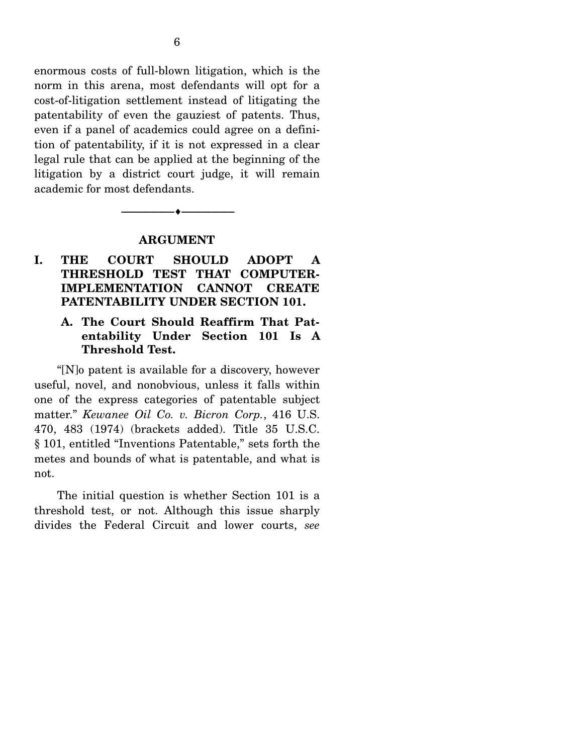enormous costs of full-blown litigation, which is the norm in this arena, most defendants will opt for a cost-of-litigation settlement instead of litigating the patentability of even the gauziest of patents. Thus, even if a panel of academics could agree on a definition of patentability, if it is not expressed in a clear legal rule that can be applied at the beginning of the litigation by a district court judge, it will remain academic for most defendants.

#### **ARGUMENT**

--------------------------------- ---------------------------------

### **I. THE COURT SHOULD ADOPT A THRESHOLD TEST THAT COMPUTER-IMPLEMENTATION CANNOT CREATE PATENTABILITY UNDER SECTION 101.**

#### **A. The Court Should Reaffirm That Patentability Under Section 101 Is A Threshold Test.**

 "[N]o patent is available for a discovery, however useful, novel, and nonobvious, unless it falls within one of the express categories of patentable subject matter." *Kewanee Oil Co. v. Bicron Corp.*, 416 U.S. 470, 483 (1974) (brackets added). Title 35 U.S.C. § 101, entitled "Inventions Patentable," sets forth the metes and bounds of what is patentable, and what is not.

 The initial question is whether Section 101 is a threshold test, or not. Although this issue sharply divides the Federal Circuit and lower courts, *see*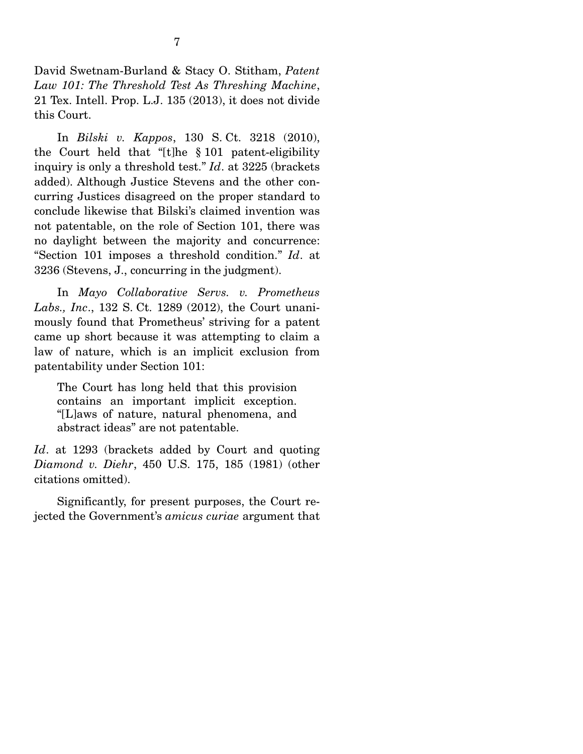David Swetnam-Burland & Stacy O. Stitham, *Patent Law 101: The Threshold Test As Threshing Machine*, 21 Tex. Intell. Prop. L.J. 135 (2013), it does not divide this Court.

 In *Bilski v. Kappos*, 130 S. Ct. 3218 (2010), the Court held that "[t]he § 101 patent-eligibility inquiry is only a threshold test." *Id*. at 3225 (brackets added). Although Justice Stevens and the other concurring Justices disagreed on the proper standard to conclude likewise that Bilski's claimed invention was not patentable, on the role of Section 101, there was no daylight between the majority and concurrence: "Section 101 imposes a threshold condition." *Id*. at 3236 (Stevens, J., concurring in the judgment).

 In *Mayo Collaborative Servs. v. Prometheus Labs., Inc*., 132 S. Ct. 1289 (2012), the Court unanimously found that Prometheus' striving for a patent came up short because it was attempting to claim a law of nature, which is an implicit exclusion from patentability under Section 101:

The Court has long held that this provision contains an important implicit exception. "[L]aws of nature, natural phenomena, and abstract ideas" are not patentable.

*Id*. at 1293 (brackets added by Court and quoting *Diamond v. Diehr*, 450 U.S. 175, 185 (1981) (other citations omitted).

 Significantly, for present purposes, the Court rejected the Government's *amicus curiae* argument that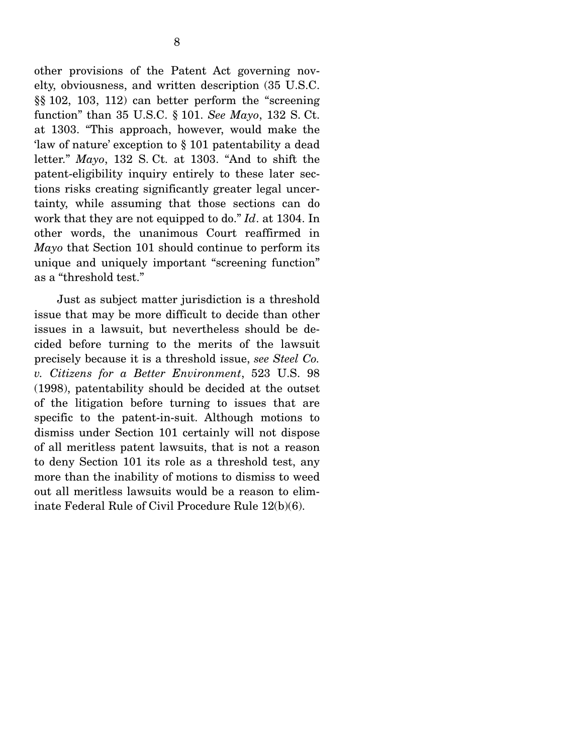other provisions of the Patent Act governing novelty, obviousness, and written description (35 U.S.C. §§ 102, 103, 112) can better perform the "screening function" than 35 U.S.C. § 101. *See Mayo*, 132 S. Ct. at 1303. "This approach, however, would make the 'law of nature' exception to § 101 patentability a dead letter." *Mayo*, 132 S. Ct. at 1303. "And to shift the patent-eligibility inquiry entirely to these later sections risks creating significantly greater legal uncertainty, while assuming that those sections can do work that they are not equipped to do." *Id*. at 1304. In other words, the unanimous Court reaffirmed in *Mayo* that Section 101 should continue to perform its unique and uniquely important "screening function" as a "threshold test."

 Just as subject matter jurisdiction is a threshold issue that may be more difficult to decide than other issues in a lawsuit, but nevertheless should be decided before turning to the merits of the lawsuit precisely because it is a threshold issue, *see Steel Co. v. Citizens for a Better Environment*, 523 U.S. 98 (1998), patentability should be decided at the outset of the litigation before turning to issues that are specific to the patent-in-suit. Although motions to dismiss under Section 101 certainly will not dispose of all meritless patent lawsuits, that is not a reason to deny Section 101 its role as a threshold test, any more than the inability of motions to dismiss to weed out all meritless lawsuits would be a reason to eliminate Federal Rule of Civil Procedure Rule 12(b)(6).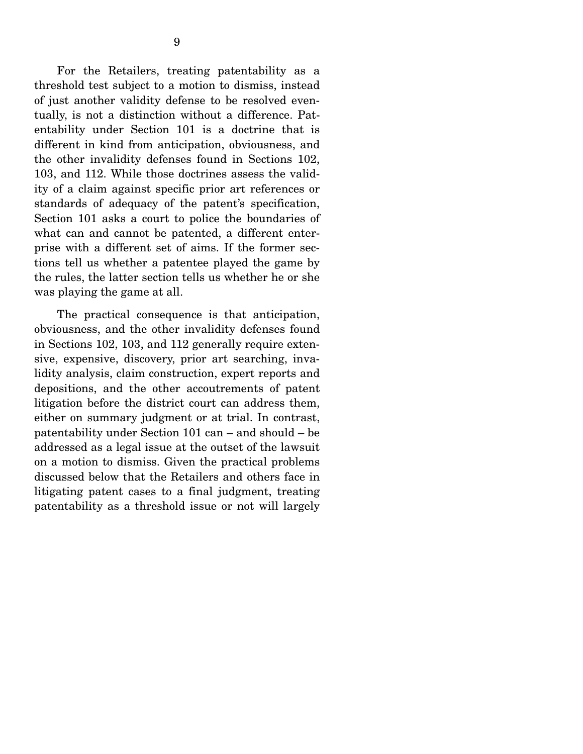For the Retailers, treating patentability as a threshold test subject to a motion to dismiss, instead of just another validity defense to be resolved eventually, is not a distinction without a difference. Patentability under Section 101 is a doctrine that is different in kind from anticipation, obviousness, and the other invalidity defenses found in Sections 102, 103, and 112. While those doctrines assess the validity of a claim against specific prior art references or standards of adequacy of the patent's specification, Section 101 asks a court to police the boundaries of what can and cannot be patented, a different enterprise with a different set of aims. If the former sections tell us whether a patentee played the game by the rules, the latter section tells us whether he or she was playing the game at all.

 The practical consequence is that anticipation, obviousness, and the other invalidity defenses found in Sections 102, 103, and 112 generally require extensive, expensive, discovery, prior art searching, invalidity analysis, claim construction, expert reports and depositions, and the other accoutrements of patent litigation before the district court can address them, either on summary judgment or at trial. In contrast, patentability under Section 101 can – and should – be addressed as a legal issue at the outset of the lawsuit on a motion to dismiss. Given the practical problems discussed below that the Retailers and others face in litigating patent cases to a final judgment, treating patentability as a threshold issue or not will largely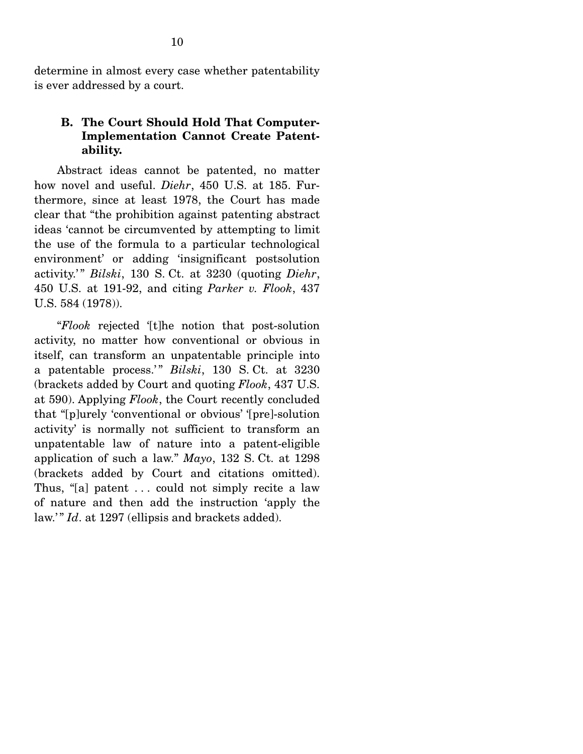determine in almost every case whether patentability is ever addressed by a court.

#### **B. The Court Should Hold That Computer-Implementation Cannot Create Patentability.**

 Abstract ideas cannot be patented, no matter how novel and useful. *Diehr*, 450 U.S. at 185. Furthermore, since at least 1978, the Court has made clear that "the prohibition against patenting abstract ideas 'cannot be circumvented by attempting to limit the use of the formula to a particular technological environment' or adding 'insignificant postsolution activity.' " *Bilski*, 130 S. Ct. at 3230 (quoting *Diehr*, 450 U.S. at 191-92, and citing *Parker v. Flook*, 437 U.S. 584 (1978)).

 "*Flook* rejected '[t]he notion that post-solution activity, no matter how conventional or obvious in itself, can transform an unpatentable principle into a patentable process.'" *Bilski*, 130 S. Ct. at 3230 (brackets added by Court and quoting *Flook*, 437 U.S. at 590). Applying *Flook*, the Court recently concluded that "[p]urely 'conventional or obvious' '[pre]-solution activity' is normally not sufficient to transform an unpatentable law of nature into a patent-eligible application of such a law." *Mayo*, 132 S. Ct. at 1298 (brackets added by Court and citations omitted). Thus, "[a] patent . . . could not simply recite a law of nature and then add the instruction 'apply the law.'" *Id.* at 1297 (ellipsis and brackets added).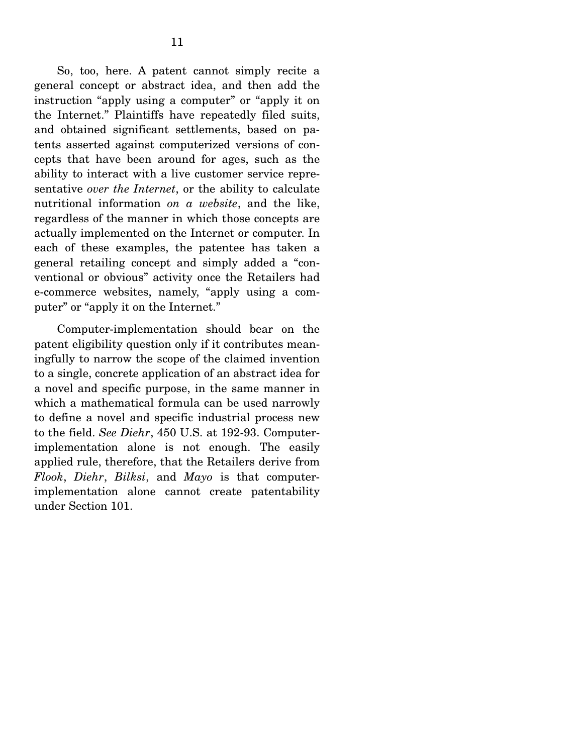So, too, here. A patent cannot simply recite a general concept or abstract idea, and then add the instruction "apply using a computer" or "apply it on the Internet." Plaintiffs have repeatedly filed suits, and obtained significant settlements, based on patents asserted against computerized versions of concepts that have been around for ages, such as the ability to interact with a live customer service representative *over the Internet*, or the ability to calculate nutritional information *on a website*, and the like, regardless of the manner in which those concepts are actually implemented on the Internet or computer. In each of these examples, the patentee has taken a general retailing concept and simply added a "conventional or obvious" activity once the Retailers had e-commerce websites, namely, "apply using a computer" or "apply it on the Internet."

 Computer-implementation should bear on the patent eligibility question only if it contributes meaningfully to narrow the scope of the claimed invention to a single, concrete application of an abstract idea for a novel and specific purpose, in the same manner in which a mathematical formula can be used narrowly to define a novel and specific industrial process new to the field. *See Diehr*, 450 U.S. at 192-93. Computerimplementation alone is not enough. The easily applied rule, therefore, that the Retailers derive from *Flook*, *Diehr*, *Bilksi*, and *Mayo* is that computerimplementation alone cannot create patentability under Section 101.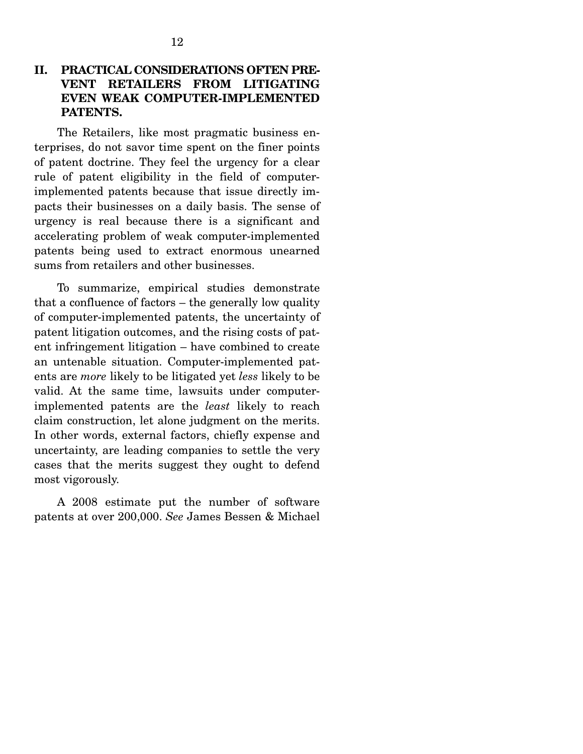### **II. PRACTICAL CONSIDERATIONS OFTEN PRE-VENT RETAILERS FROM LITIGATING EVEN WEAK COMPUTER-IMPLEMENTED PATENTS.**

 The Retailers, like most pragmatic business enterprises, do not savor time spent on the finer points of patent doctrine. They feel the urgency for a clear rule of patent eligibility in the field of computerimplemented patents because that issue directly impacts their businesses on a daily basis. The sense of urgency is real because there is a significant and accelerating problem of weak computer-implemented patents being used to extract enormous unearned sums from retailers and other businesses.

 To summarize, empirical studies demonstrate that a confluence of factors – the generally low quality of computer-implemented patents, the uncertainty of patent litigation outcomes, and the rising costs of patent infringement litigation – have combined to create an untenable situation. Computer-implemented patents are *more* likely to be litigated yet *less* likely to be valid. At the same time, lawsuits under computerimplemented patents are the *least* likely to reach claim construction, let alone judgment on the merits. In other words, external factors, chiefly expense and uncertainty, are leading companies to settle the very cases that the merits suggest they ought to defend most vigorously.

 A 2008 estimate put the number of software patents at over 200,000. *See* James Bessen & Michael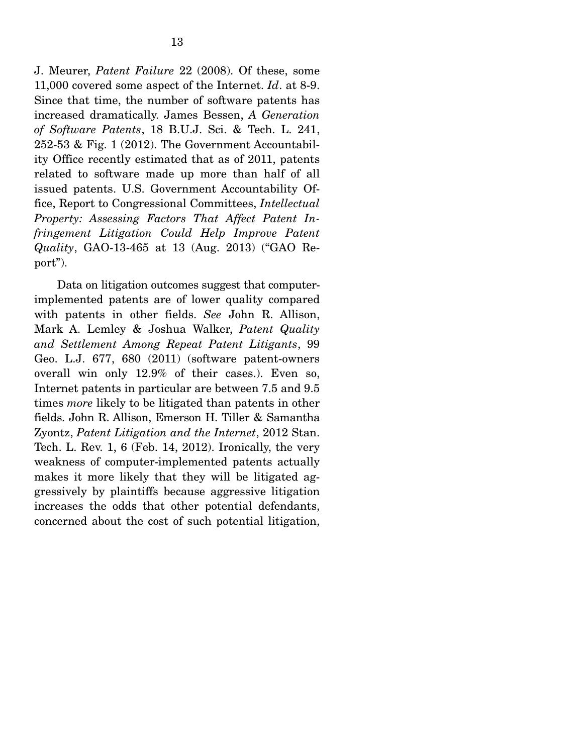J. Meurer, *Patent Failure* 22 (2008). Of these, some 11,000 covered some aspect of the Internet. *Id*. at 8-9. Since that time, the number of software patents has increased dramatically. James Bessen, *A Generation of Software Patents*, 18 B.U.J. Sci. & Tech. L. 241, 252-53 & Fig. 1 (2012). The Government Accountability Office recently estimated that as of 2011, patents related to software made up more than half of all issued patents. U.S. Government Accountability Office, Report to Congressional Committees, *Intellectual Property: Assessing Factors That Affect Patent Infringement Litigation Could Help Improve Patent Quality*, GAO-13-465 at 13 (Aug. 2013) ("GAO Report").

 Data on litigation outcomes suggest that computerimplemented patents are of lower quality compared with patents in other fields. *See* John R. Allison, Mark A. Lemley & Joshua Walker, *Patent Quality and Settlement Among Repeat Patent Litigants*, 99 Geo. L.J. 677, 680 (2011) (software patent-owners overall win only 12.9% of their cases.). Even so, Internet patents in particular are between 7.5 and 9.5 times *more* likely to be litigated than patents in other fields. John R. Allison, Emerson H. Tiller & Samantha Zyontz, *Patent Litigation and the Internet*, 2012 Stan. Tech. L. Rev. 1, 6 (Feb. 14, 2012). Ironically, the very weakness of computer-implemented patents actually makes it more likely that they will be litigated aggressively by plaintiffs because aggressive litigation increases the odds that other potential defendants, concerned about the cost of such potential litigation,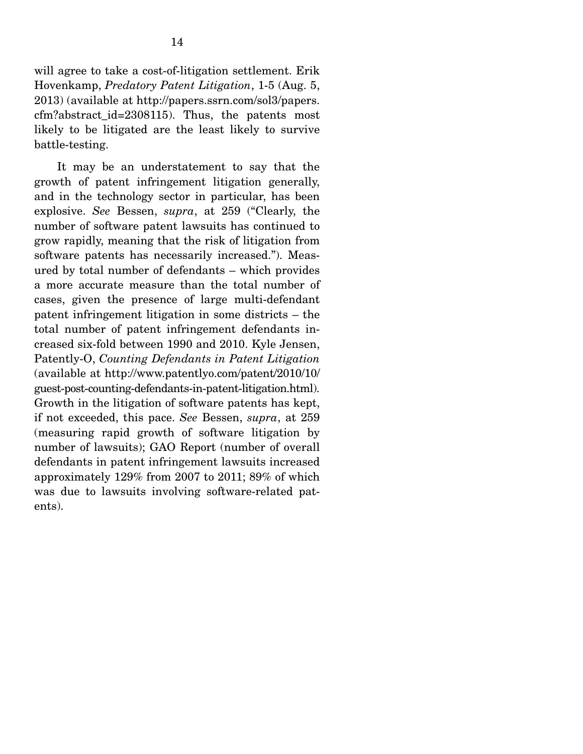will agree to take a cost-of-litigation settlement. Erik Hovenkamp, *Predatory Patent Litigation*, 1-5 (Aug. 5, 2013) (available at http://papers.ssrn.com/sol3/papers. cfm?abstract\_id=2308115). Thus, the patents most likely to be litigated are the least likely to survive battle-testing.

 It may be an understatement to say that the growth of patent infringement litigation generally, and in the technology sector in particular, has been explosive. *See* Bessen, *supra*, at 259 ("Clearly, the number of software patent lawsuits has continued to grow rapidly, meaning that the risk of litigation from software patents has necessarily increased."). Measured by total number of defendants – which provides a more accurate measure than the total number of cases, given the presence of large multi-defendant patent infringement litigation in some districts – the total number of patent infringement defendants increased six-fold between 1990 and 2010. Kyle Jensen, Patently-O, *Counting Defendants in Patent Litigation* (available at http://www.patentlyo.com/patent/2010/10/ guest-post-counting-defendants-in-patent-litigation.html). Growth in the litigation of software patents has kept, if not exceeded, this pace. *See* Bessen, *supra*, at 259 (measuring rapid growth of software litigation by number of lawsuits); GAO Report (number of overall defendants in patent infringement lawsuits increased approximately 129% from 2007 to 2011; 89% of which was due to lawsuits involving software-related patents).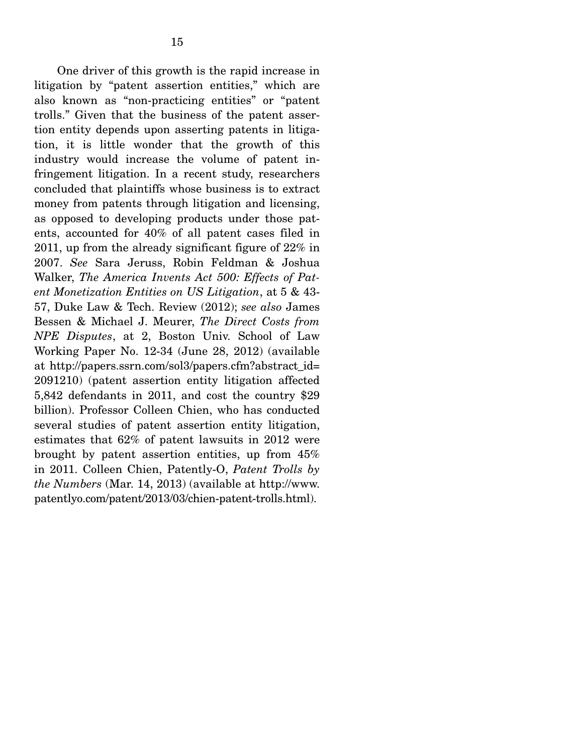One driver of this growth is the rapid increase in litigation by "patent assertion entities," which are also known as "non-practicing entities" or "patent trolls." Given that the business of the patent assertion entity depends upon asserting patents in litigation, it is little wonder that the growth of this industry would increase the volume of patent infringement litigation. In a recent study, researchers concluded that plaintiffs whose business is to extract money from patents through litigation and licensing, as opposed to developing products under those patents, accounted for 40% of all patent cases filed in 2011, up from the already significant figure of 22% in 2007. *See* Sara Jeruss, Robin Feldman & Joshua Walker, *The America Invents Act 500: Effects of Patent Monetization Entities on US Litigation*, at 5 & 43- 57, Duke Law & Tech. Review (2012); *see also* James Bessen & Michael J. Meurer, *The Direct Costs from NPE Disputes*, at 2, Boston Univ. School of Law Working Paper No. 12-34 (June 28, 2012) (available at http://papers.ssrn.com/sol3/papers.cfm?abstract\_id= 2091210) (patent assertion entity litigation affected 5,842 defendants in 2011, and cost the country \$29 billion). Professor Colleen Chien, who has conducted several studies of patent assertion entity litigation, estimates that 62% of patent lawsuits in 2012 were brought by patent assertion entities, up from 45% in 2011. Colleen Chien, Patently-O, *Patent Trolls by the Numbers* (Mar. 14, 2013) (available at http://www. patentlyo.com/patent/2013/03/chien-patent-trolls.html).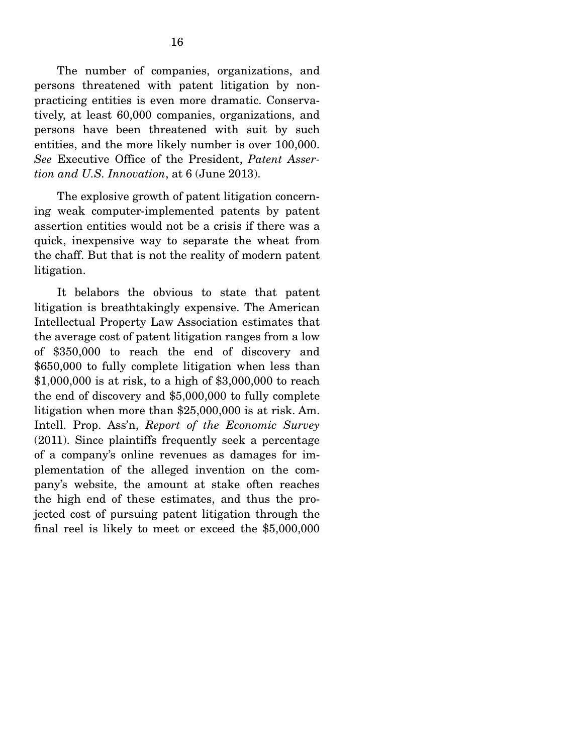The number of companies, organizations, and persons threatened with patent litigation by nonpracticing entities is even more dramatic. Conservatively, at least 60,000 companies, organizations, and persons have been threatened with suit by such entities, and the more likely number is over 100,000. *See* Executive Office of the President, *Patent Assertion and U.S. Innovation*, at 6 (June 2013).

 The explosive growth of patent litigation concerning weak computer-implemented patents by patent assertion entities would not be a crisis if there was a quick, inexpensive way to separate the wheat from the chaff. But that is not the reality of modern patent litigation.

 It belabors the obvious to state that patent litigation is breathtakingly expensive. The American Intellectual Property Law Association estimates that the average cost of patent litigation ranges from a low of \$350,000 to reach the end of discovery and \$650,000 to fully complete litigation when less than \$1,000,000 is at risk, to a high of \$3,000,000 to reach the end of discovery and \$5,000,000 to fully complete litigation when more than \$25,000,000 is at risk. Am. Intell. Prop. Ass'n, *Report of the Economic Survey* (2011). Since plaintiffs frequently seek a percentage of a company's online revenues as damages for implementation of the alleged invention on the company's website, the amount at stake often reaches the high end of these estimates, and thus the projected cost of pursuing patent litigation through the final reel is likely to meet or exceed the \$5,000,000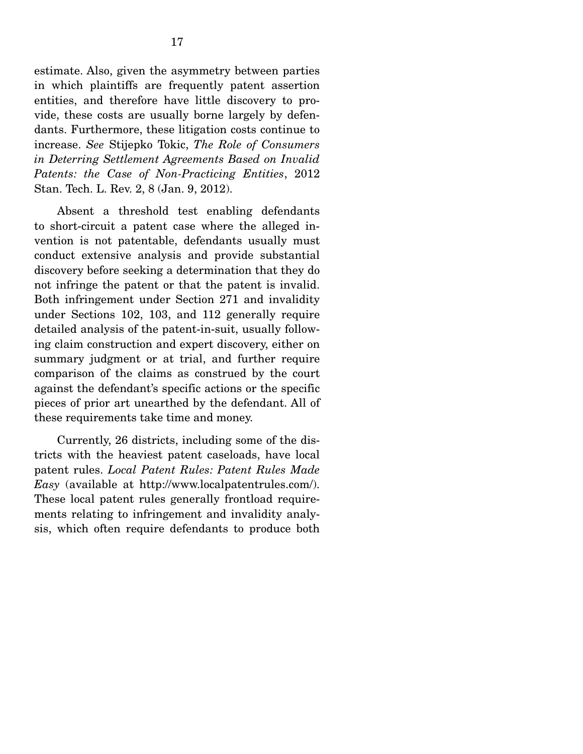estimate. Also, given the asymmetry between parties in which plaintiffs are frequently patent assertion entities, and therefore have little discovery to provide, these costs are usually borne largely by defendants. Furthermore, these litigation costs continue to increase. *See* Stijepko Tokic, *The Role of Consumers in Deterring Settlement Agreements Based on Invalid Patents: the Case of Non-Practicing Entities*, 2012 Stan. Tech. L. Rev. 2, 8 (Jan. 9, 2012).

 Absent a threshold test enabling defendants to short-circuit a patent case where the alleged invention is not patentable, defendants usually must conduct extensive analysis and provide substantial discovery before seeking a determination that they do not infringe the patent or that the patent is invalid. Both infringement under Section 271 and invalidity under Sections 102, 103, and 112 generally require detailed analysis of the patent-in-suit, usually following claim construction and expert discovery, either on summary judgment or at trial, and further require comparison of the claims as construed by the court against the defendant's specific actions or the specific pieces of prior art unearthed by the defendant. All of these requirements take time and money.

 Currently, 26 districts, including some of the districts with the heaviest patent caseloads, have local patent rules. *Local Patent Rules: Patent Rules Made Easy* (available at http://www.localpatentrules.com/). These local patent rules generally frontload requirements relating to infringement and invalidity analysis, which often require defendants to produce both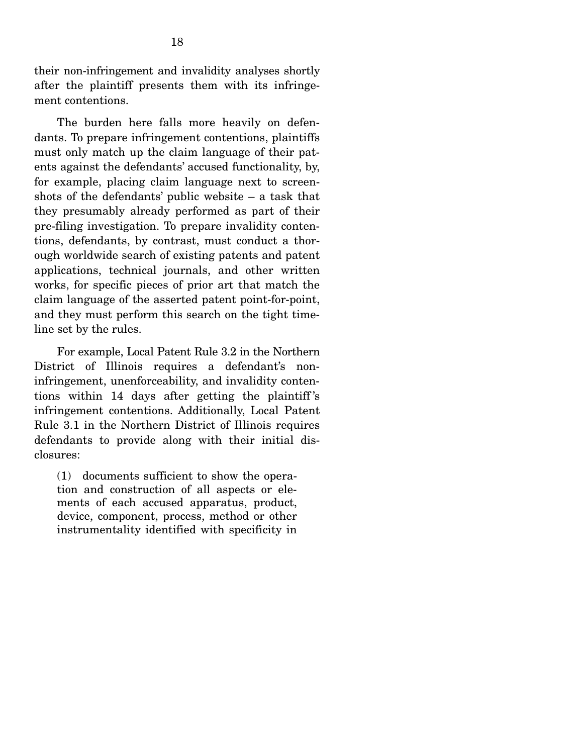their non-infringement and invalidity analyses shortly after the plaintiff presents them with its infringement contentions.

 The burden here falls more heavily on defendants. To prepare infringement contentions, plaintiffs must only match up the claim language of their patents against the defendants' accused functionality, by, for example, placing claim language next to screenshots of the defendants' public website – a task that they presumably already performed as part of their pre-filing investigation. To prepare invalidity contentions, defendants, by contrast, must conduct a thorough worldwide search of existing patents and patent applications, technical journals, and other written works, for specific pieces of prior art that match the claim language of the asserted patent point-for-point, and they must perform this search on the tight timeline set by the rules.

 For example, Local Patent Rule 3.2 in the Northern District of Illinois requires a defendant's noninfringement, unenforceability, and invalidity contentions within 14 days after getting the plaintiff 's infringement contentions. Additionally, Local Patent Rule 3.1 in the Northern District of Illinois requires defendants to provide along with their initial disclosures:

(1) documents sufficient to show the operation and construction of all aspects or elements of each accused apparatus, product, device, component, process, method or other instrumentality identified with specificity in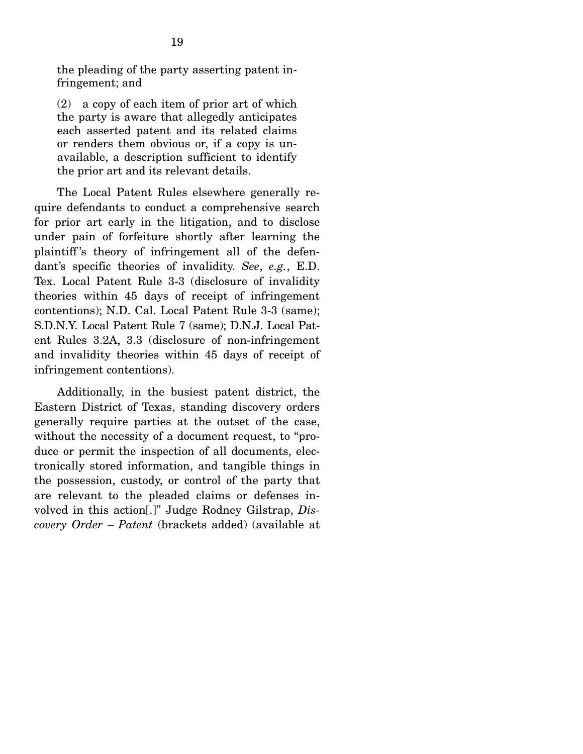the pleading of the party asserting patent infringement; and

(2) a copy of each item of prior art of which the party is aware that allegedly anticipates each asserted patent and its related claims or renders them obvious or, if a copy is unavailable, a description sufficient to identify the prior art and its relevant details.

 The Local Patent Rules elsewhere generally require defendants to conduct a comprehensive search for prior art early in the litigation, and to disclose under pain of forfeiture shortly after learning the plaintiff 's theory of infringement all of the defendant's specific theories of invalidity. *See*, *e.g.*, E.D. Tex. Local Patent Rule 3-3 (disclosure of invalidity theories within 45 days of receipt of infringement contentions); N.D. Cal. Local Patent Rule 3-3 (same); S.D.N.Y. Local Patent Rule 7 (same); D.N.J. Local Patent Rules 3.2A, 3.3 (disclosure of non-infringement and invalidity theories within 45 days of receipt of infringement contentions).

 Additionally, in the busiest patent district, the Eastern District of Texas, standing discovery orders generally require parties at the outset of the case, without the necessity of a document request, to "produce or permit the inspection of all documents, electronically stored information, and tangible things in the possession, custody, or control of the party that are relevant to the pleaded claims or defenses involved in this action[.]" Judge Rodney Gilstrap, *Discovery Order – Patent* (brackets added) (available at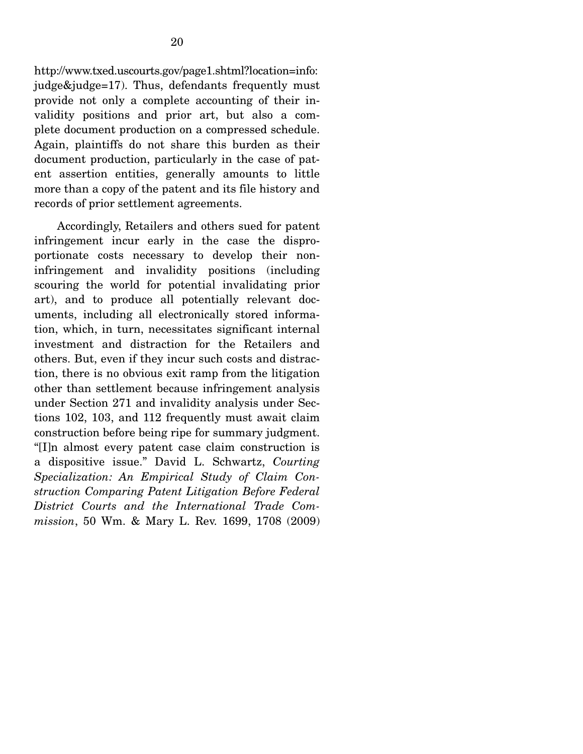http://www.txed.uscourts.gov/page1.shtml?location=info: judge&judge=17). Thus, defendants frequently must provide not only a complete accounting of their invalidity positions and prior art, but also a complete document production on a compressed schedule. Again, plaintiffs do not share this burden as their document production, particularly in the case of patent assertion entities, generally amounts to little more than a copy of the patent and its file history and records of prior settlement agreements.

 Accordingly, Retailers and others sued for patent infringement incur early in the case the disproportionate costs necessary to develop their noninfringement and invalidity positions (including scouring the world for potential invalidating prior art), and to produce all potentially relevant documents, including all electronically stored information, which, in turn, necessitates significant internal investment and distraction for the Retailers and others. But, even if they incur such costs and distraction, there is no obvious exit ramp from the litigation other than settlement because infringement analysis under Section 271 and invalidity analysis under Sections 102, 103, and 112 frequently must await claim construction before being ripe for summary judgment. "[I]n almost every patent case claim construction is a dispositive issue." David L. Schwartz, *Courting Specialization: An Empirical Study of Claim Construction Comparing Patent Litigation Before Federal District Courts and the International Trade Commission*, 50 Wm. & Mary L. Rev. 1699, 1708 (2009)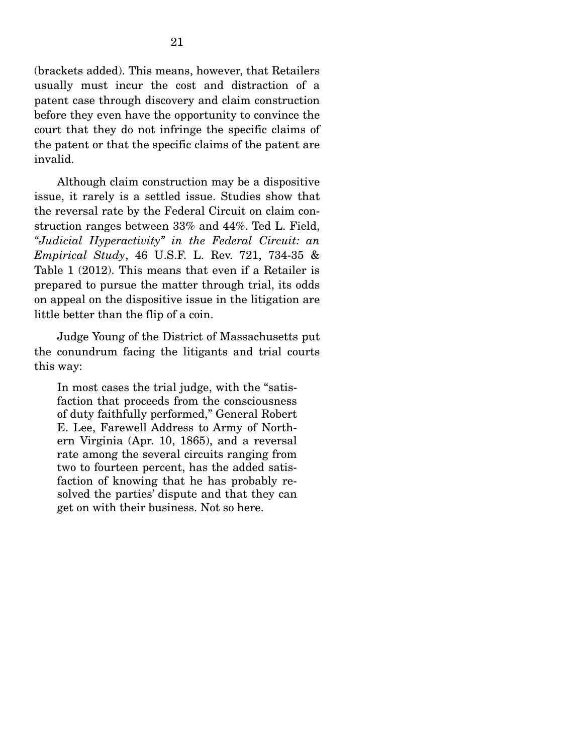(brackets added). This means, however, that Retailers usually must incur the cost and distraction of a patent case through discovery and claim construction before they even have the opportunity to convince the court that they do not infringe the specific claims of the patent or that the specific claims of the patent are invalid.

 Although claim construction may be a dispositive issue, it rarely is a settled issue. Studies show that the reversal rate by the Federal Circuit on claim construction ranges between 33% and 44%. Ted L. Field, *"Judicial Hyperactivity" in the Federal Circuit: an Empirical Study*, 46 U.S.F. L. Rev. 721, 734-35 & Table 1 (2012). This means that even if a Retailer is prepared to pursue the matter through trial, its odds on appeal on the dispositive issue in the litigation are little better than the flip of a coin.

 Judge Young of the District of Massachusetts put the conundrum facing the litigants and trial courts this way:

In most cases the trial judge, with the "satisfaction that proceeds from the consciousness of duty faithfully performed," General Robert E. Lee, Farewell Address to Army of Northern Virginia (Apr. 10, 1865), and a reversal rate among the several circuits ranging from two to fourteen percent, has the added satisfaction of knowing that he has probably resolved the parties' dispute and that they can get on with their business. Not so here.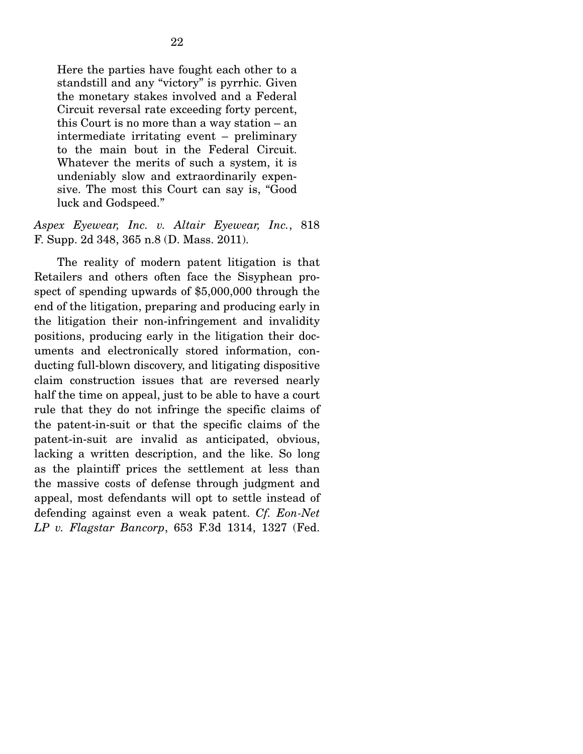Here the parties have fought each other to a standstill and any "victory" is pyrrhic. Given the monetary stakes involved and a Federal Circuit reversal rate exceeding forty percent, this Court is no more than a way station – an intermediate irritating event – preliminary to the main bout in the Federal Circuit. Whatever the merits of such a system, it is undeniably slow and extraordinarily expensive. The most this Court can say is, "Good luck and Godspeed."

#### *Aspex Eyewear, Inc. v. Altair Eyewear, Inc.*, 818 F. Supp. 2d 348, 365 n.8 (D. Mass. 2011).

 The reality of modern patent litigation is that Retailers and others often face the Sisyphean prospect of spending upwards of \$5,000,000 through the end of the litigation, preparing and producing early in the litigation their non-infringement and invalidity positions, producing early in the litigation their documents and electronically stored information, conducting full-blown discovery, and litigating dispositive claim construction issues that are reversed nearly half the time on appeal, just to be able to have a court rule that they do not infringe the specific claims of the patent-in-suit or that the specific claims of the patent-in-suit are invalid as anticipated, obvious, lacking a written description, and the like. So long as the plaintiff prices the settlement at less than the massive costs of defense through judgment and appeal, most defendants will opt to settle instead of defending against even a weak patent. *Cf. Eon-Net LP v. Flagstar Bancorp*, 653 F.3d 1314, 1327 (Fed.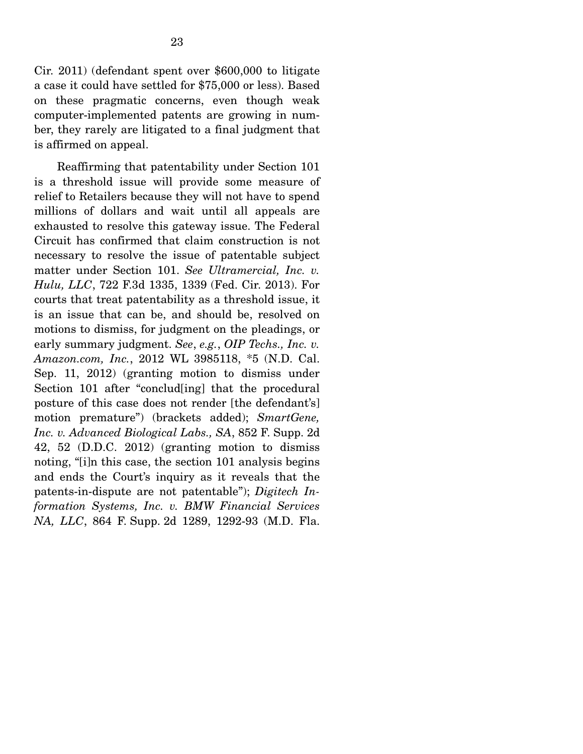Cir. 2011) (defendant spent over \$600,000 to litigate a case it could have settled for \$75,000 or less). Based on these pragmatic concerns, even though weak computer-implemented patents are growing in number, they rarely are litigated to a final judgment that is affirmed on appeal.

 Reaffirming that patentability under Section 101 is a threshold issue will provide some measure of relief to Retailers because they will not have to spend millions of dollars and wait until all appeals are exhausted to resolve this gateway issue. The Federal Circuit has confirmed that claim construction is not necessary to resolve the issue of patentable subject matter under Section 101. *See Ultramercial, Inc. v. Hulu, LLC*, 722 F.3d 1335, 1339 (Fed. Cir. 2013). For courts that treat patentability as a threshold issue, it is an issue that can be, and should be, resolved on motions to dismiss, for judgment on the pleadings, or early summary judgment. *See*, *e.g.*, *OIP Techs., Inc. v. Amazon.com, Inc.*, 2012 WL 3985118, \*5 (N.D. Cal. Sep. 11, 2012) (granting motion to dismiss under Section 101 after "conclud[ing] that the procedural posture of this case does not render [the defendant's] motion premature") (brackets added); *SmartGene, Inc. v. Advanced Biological Labs., SA*, 852 F. Supp. 2d 42, 52 (D.D.C. 2012) (granting motion to dismiss noting, "[i]n this case, the section 101 analysis begins and ends the Court's inquiry as it reveals that the patents-in-dispute are not patentable"); *Digitech Information Systems, Inc. v. BMW Financial Services NA, LLC*, 864 F. Supp. 2d 1289, 1292-93 (M.D. Fla.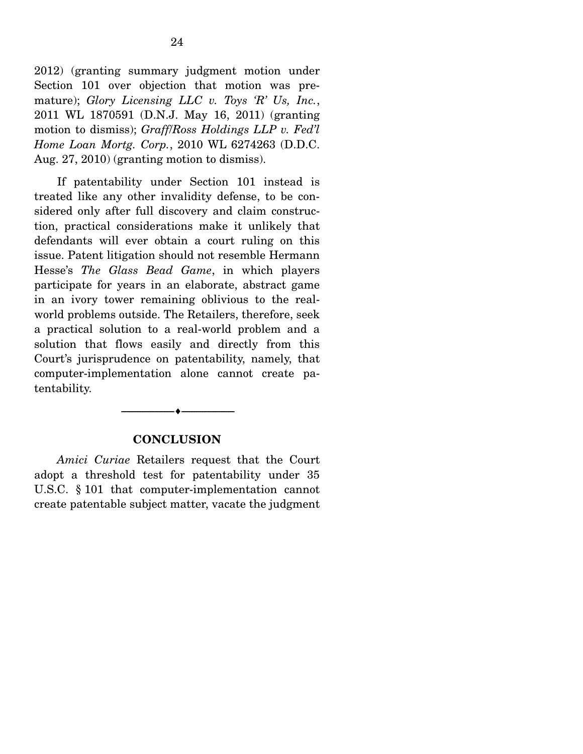2012) (granting summary judgment motion under Section 101 over objection that motion was premature); *Glory Licensing LLC v. Toys 'R' Us, Inc.*, 2011 WL 1870591 (D.N.J. May 16, 2011) (granting motion to dismiss); *Graff*/*Ross Holdings LLP v. Fed'l Home Loan Mortg. Corp.*, 2010 WL 6274263 (D.D.C. Aug. 27, 2010) (granting motion to dismiss).

 If patentability under Section 101 instead is treated like any other invalidity defense, to be considered only after full discovery and claim construction, practical considerations make it unlikely that defendants will ever obtain a court ruling on this issue. Patent litigation should not resemble Hermann Hesse's *The Glass Bead Game*, in which players participate for years in an elaborate, abstract game in an ivory tower remaining oblivious to the realworld problems outside. The Retailers, therefore, seek a practical solution to a real-world problem and a solution that flows easily and directly from this Court's jurisprudence on patentability, namely, that computer-implementation alone cannot create patentability.

#### **CONCLUSION**

--------------------------------- ---------------------------------

*Amici Curiae* Retailers request that the Court adopt a threshold test for patentability under 35 U.S.C. § 101 that computer-implementation cannot create patentable subject matter, vacate the judgment